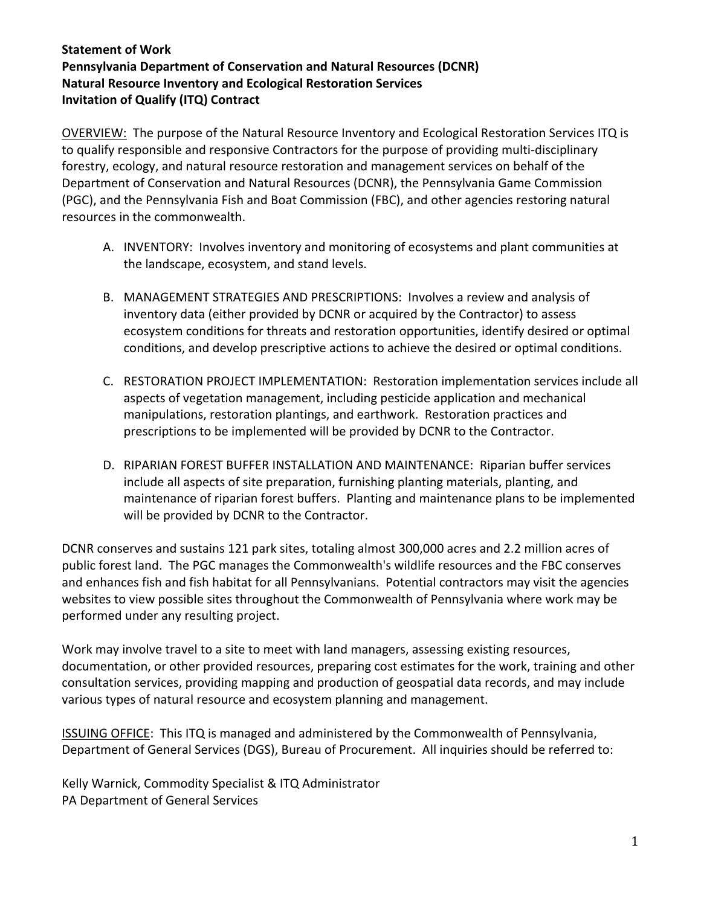OVERVIEW: The purpose of the Natural Resource Inventory and Ecological Restoration Services ITQ is to qualify responsible and responsive Contractors for the purpose of providing multi-disciplinary forestry, ecology, and natural resource restoration and management services on behalf of the Department of Conservation and Natural Resources (DCNR), the Pennsylvania Game Commission (PGC), and the Pennsylvania Fish and Boat Commission (FBC), and other agencies restoring natural resources in the commonwealth.

- A. INVENTORY: Involves inventory and monitoring of ecosystems and plant communities at the landscape, ecosystem, and stand levels.
- B. MANAGEMENT STRATEGIES AND PRESCRIPTIONS: Involves a review and analysis of inventory data (either provided by DCNR or acquired by the Contractor) to assess ecosystem conditions for threats and restoration opportunities, identify desired or optimal conditions, and develop prescriptive actions to achieve the desired or optimal conditions.
- C. RESTORATION PROJECT IMPLEMENTATION: Restoration implementation services include all aspects of vegetation management, including pesticide application and mechanical manipulations, restoration plantings, and earthwork. Restoration practices and prescriptions to be implemented will be provided by DCNR to the Contractor.
- D. RIPARIAN FOREST BUFFER INSTALLATION AND MAINTENANCE: Riparian buffer services include all aspects of site preparation, furnishing planting materials, planting, and maintenance of riparian forest buffers. Planting and maintenance plans to be implemented will be provided by DCNR to the Contractor.

DCNR conserves and sustains 121 park sites, totaling almost 300,000 acres and 2.2 million acres of public forest land. The PGC manages the Commonwealth's wildlife resources and the FBC conserves and enhances fish and fish habitat for all Pennsylvanians. Potential contractors may visit the agencies websites to view possible sites throughout the Commonwealth of Pennsylvania where work may be performed under any resulting project.

Work may involve travel to a site to meet with land managers, assessing existing resources, documentation, or other provided resources, preparing cost estimates for the work, training and other consultation services, providing mapping and production of geospatial data records, and may include various types of natural resource and ecosystem planning and management.

ISSUING OFFICE: This ITQ is managed and administered by the Commonwealth of Pennsylvania, Department of General Services (DGS), Bureau of Procurement. All inquiries should be referred to:

Kelly Warnick, Commodity Specialist & ITQ Administrator PA Department of General Services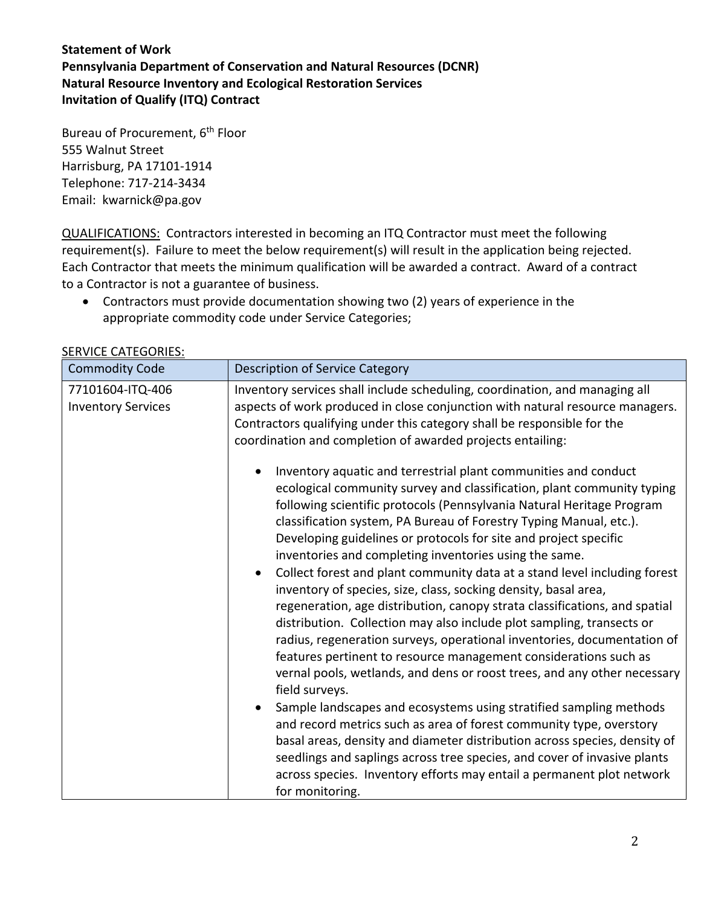Bureau of Procurement, 6<sup>th</sup> Floor 555 Walnut Street Harrisburg, PA 17101-1914 Telephone: 717-214-3434 Email: kwarnick@pa.gov

QUALIFICATIONS: Contractors interested in becoming an ITQ Contractor must meet the following requirement(s). Failure to meet the below requirement(s) will result in the application being rejected. Each Contractor that meets the minimum qualification will be awarded a contract. Award of a contract to a Contractor is not a guarantee of business.

• Contractors must provide documentation showing two (2) years of experience in the appropriate commodity code under Service Categories;

| <b>Commodity Code</b>                         | <b>Description of Service Category</b>                                                                                                                                                                                                                                                                                                                                                                                                                                                                                                                                                                                                                                                                                                                                                                                                                                                                                                                                                                                                                                                                                                                                                                                                                                                                                                                                                                 |
|-----------------------------------------------|--------------------------------------------------------------------------------------------------------------------------------------------------------------------------------------------------------------------------------------------------------------------------------------------------------------------------------------------------------------------------------------------------------------------------------------------------------------------------------------------------------------------------------------------------------------------------------------------------------------------------------------------------------------------------------------------------------------------------------------------------------------------------------------------------------------------------------------------------------------------------------------------------------------------------------------------------------------------------------------------------------------------------------------------------------------------------------------------------------------------------------------------------------------------------------------------------------------------------------------------------------------------------------------------------------------------------------------------------------------------------------------------------------|
| 77101604-ITQ-406<br><b>Inventory Services</b> | Inventory services shall include scheduling, coordination, and managing all<br>aspects of work produced in close conjunction with natural resource managers.<br>Contractors qualifying under this category shall be responsible for the<br>coordination and completion of awarded projects entailing:                                                                                                                                                                                                                                                                                                                                                                                                                                                                                                                                                                                                                                                                                                                                                                                                                                                                                                                                                                                                                                                                                                  |
|                                               | Inventory aquatic and terrestrial plant communities and conduct<br>$\bullet$<br>ecological community survey and classification, plant community typing<br>following scientific protocols (Pennsylvania Natural Heritage Program<br>classification system, PA Bureau of Forestry Typing Manual, etc.).<br>Developing guidelines or protocols for site and project specific<br>inventories and completing inventories using the same.<br>Collect forest and plant community data at a stand level including forest<br>$\bullet$<br>inventory of species, size, class, socking density, basal area,<br>regeneration, age distribution, canopy strata classifications, and spatial<br>distribution. Collection may also include plot sampling, transects or<br>radius, regeneration surveys, operational inventories, documentation of<br>features pertinent to resource management considerations such as<br>vernal pools, wetlands, and dens or roost trees, and any other necessary<br>field surveys.<br>Sample landscapes and ecosystems using stratified sampling methods<br>and record metrics such as area of forest community type, overstory<br>basal areas, density and diameter distribution across species, density of<br>seedlings and saplings across tree species, and cover of invasive plants<br>across species. Inventory efforts may entail a permanent plot network<br>for monitoring. |

#### SERVICE CATEGORIES: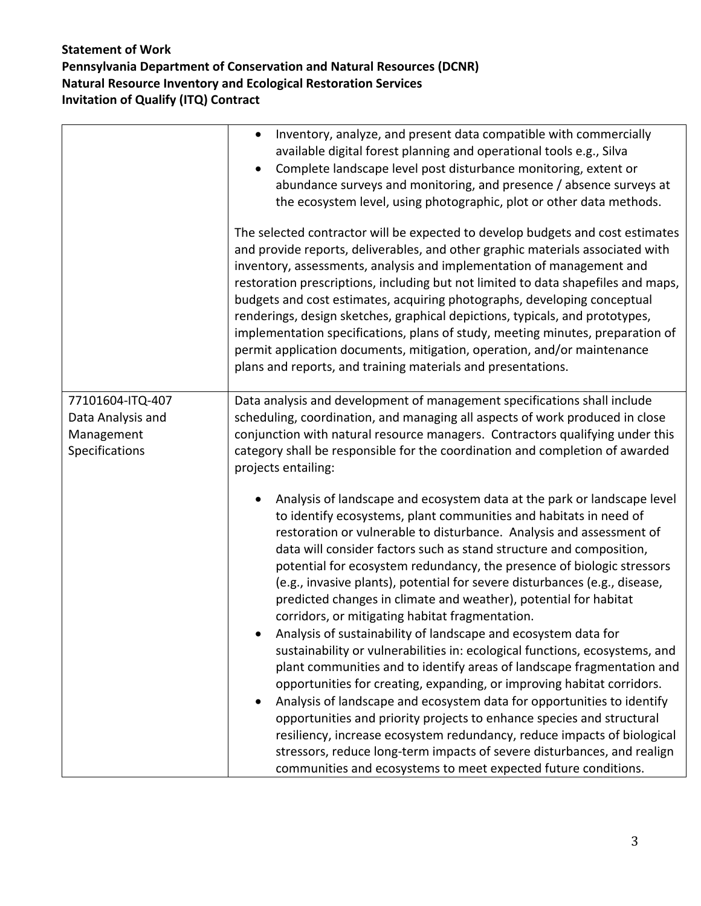|                                                                       | Inventory, analyze, and present data compatible with commercially<br>$\bullet$<br>available digital forest planning and operational tools e.g., Silva<br>Complete landscape level post disturbance monitoring, extent or<br>$\bullet$<br>abundance surveys and monitoring, and presence / absence surveys at<br>the ecosystem level, using photographic, plot or other data methods.<br>The selected contractor will be expected to develop budgets and cost estimates<br>and provide reports, deliverables, and other graphic materials associated with<br>inventory, assessments, analysis and implementation of management and<br>restoration prescriptions, including but not limited to data shapefiles and maps,<br>budgets and cost estimates, acquiring photographs, developing conceptual<br>renderings, design sketches, graphical depictions, typicals, and prototypes,<br>implementation specifications, plans of study, meeting minutes, preparation of<br>permit application documents, mitigation, operation, and/or maintenance<br>plans and reports, and training materials and presentations. |
|-----------------------------------------------------------------------|-----------------------------------------------------------------------------------------------------------------------------------------------------------------------------------------------------------------------------------------------------------------------------------------------------------------------------------------------------------------------------------------------------------------------------------------------------------------------------------------------------------------------------------------------------------------------------------------------------------------------------------------------------------------------------------------------------------------------------------------------------------------------------------------------------------------------------------------------------------------------------------------------------------------------------------------------------------------------------------------------------------------------------------------------------------------------------------------------------------------|
| 77101604-ITQ-407<br>Data Analysis and<br>Management<br>Specifications | Data analysis and development of management specifications shall include<br>scheduling, coordination, and managing all aspects of work produced in close<br>conjunction with natural resource managers. Contractors qualifying under this<br>category shall be responsible for the coordination and completion of awarded<br>projects entailing:<br>Analysis of landscape and ecosystem data at the park or landscape level<br>to identify ecosystems, plant communities and habitats in need of<br>restoration or vulnerable to disturbance. Analysis and assessment of<br>data will consider factors such as stand structure and composition,<br>potential for ecosystem redundancy, the presence of biologic stressors<br>(e.g., invasive plants), potential for severe disturbances (e.g., disease,<br>predicted changes in climate and weather), potential for habitat<br>corridors, or mitigating habitat fragmentation.<br>Analysis of sustainability of landscape and ecosystem data for<br>sustainability or vulnerabilities in: ecological functions, ecosystems, and                                 |
|                                                                       | plant communities and to identify areas of landscape fragmentation and<br>opportunities for creating, expanding, or improving habitat corridors.<br>Analysis of landscape and ecosystem data for opportunities to identify<br>٠<br>opportunities and priority projects to enhance species and structural<br>resiliency, increase ecosystem redundancy, reduce impacts of biological<br>stressors, reduce long-term impacts of severe disturbances, and realign<br>communities and ecosystems to meet expected future conditions.                                                                                                                                                                                                                                                                                                                                                                                                                                                                                                                                                                                |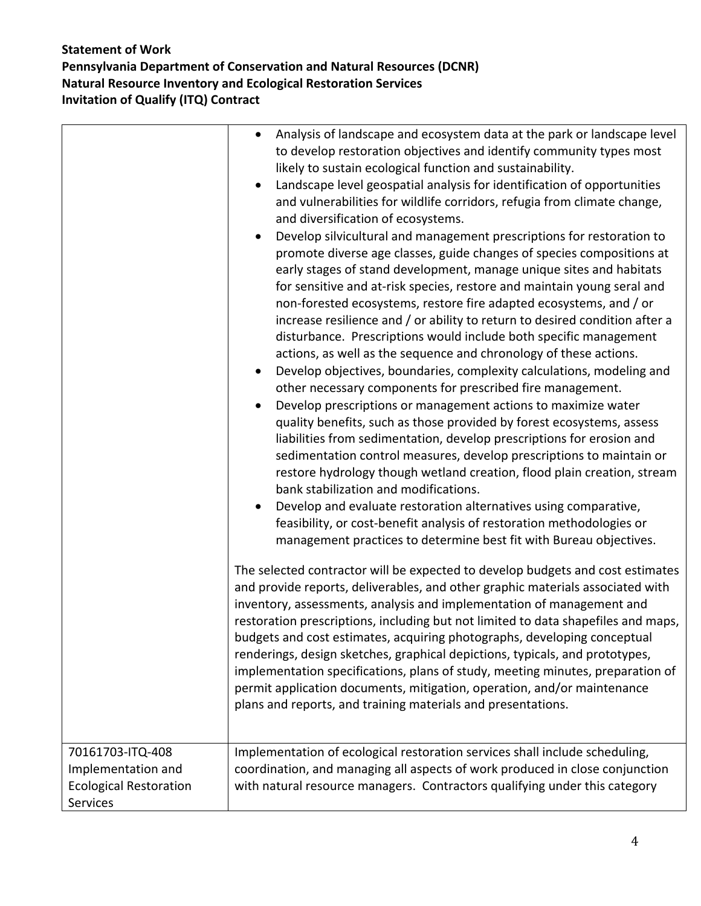|                                                                                     | Analysis of landscape and ecosystem data at the park or landscape level<br>$\bullet$<br>to develop restoration objectives and identify community types most<br>likely to sustain ecological function and sustainability.<br>Landscape level geospatial analysis for identification of opportunities<br>$\bullet$<br>and vulnerabilities for wildlife corridors, refugia from climate change,<br>and diversification of ecosystems.<br>Develop silvicultural and management prescriptions for restoration to<br>$\bullet$<br>promote diverse age classes, guide changes of species compositions at<br>early stages of stand development, manage unique sites and habitats<br>for sensitive and at-risk species, restore and maintain young seral and<br>non-forested ecosystems, restore fire adapted ecosystems, and / or<br>increase resilience and / or ability to return to desired condition after a<br>disturbance. Prescriptions would include both specific management<br>actions, as well as the sequence and chronology of these actions.<br>Develop objectives, boundaries, complexity calculations, modeling and<br>other necessary components for prescribed fire management.<br>Develop prescriptions or management actions to maximize water<br>$\bullet$<br>quality benefits, such as those provided by forest ecosystems, assess<br>liabilities from sedimentation, develop prescriptions for erosion and<br>sedimentation control measures, develop prescriptions to maintain or<br>restore hydrology though wetland creation, flood plain creation, stream<br>bank stabilization and modifications.<br>Develop and evaluate restoration alternatives using comparative,<br>feasibility, or cost-benefit analysis of restoration methodologies or<br>management practices to determine best fit with Bureau objectives.<br>The selected contractor will be expected to develop budgets and cost estimates<br>and provide reports, deliverables, and other graphic materials associated with<br>inventory, assessments, analysis and implementation of management and<br>restoration prescriptions, including but not limited to data shapefiles and maps,<br>budgets and cost estimates, acquiring photographs, developing conceptual<br>renderings, design sketches, graphical depictions, typicals, and prototypes,<br>implementation specifications, plans of study, meeting minutes, preparation of<br>permit application documents, mitigation, operation, and/or maintenance<br>plans and reports, and training materials and presentations. |
|-------------------------------------------------------------------------------------|---------------------------------------------------------------------------------------------------------------------------------------------------------------------------------------------------------------------------------------------------------------------------------------------------------------------------------------------------------------------------------------------------------------------------------------------------------------------------------------------------------------------------------------------------------------------------------------------------------------------------------------------------------------------------------------------------------------------------------------------------------------------------------------------------------------------------------------------------------------------------------------------------------------------------------------------------------------------------------------------------------------------------------------------------------------------------------------------------------------------------------------------------------------------------------------------------------------------------------------------------------------------------------------------------------------------------------------------------------------------------------------------------------------------------------------------------------------------------------------------------------------------------------------------------------------------------------------------------------------------------------------------------------------------------------------------------------------------------------------------------------------------------------------------------------------------------------------------------------------------------------------------------------------------------------------------------------------------------------------------------------------------------------------------------------------------------------------------------------------------------------------------------------------------------------------------------------------------------------------------------------------------------------------------------------------------------------------------------------------------------------------------------------------------------------------------------------------------------------------------------------------------------------------------------------------------|
| 70161703-ITQ-408<br>Implementation and<br><b>Ecological Restoration</b><br>Services | Implementation of ecological restoration services shall include scheduling,<br>coordination, and managing all aspects of work produced in close conjunction<br>with natural resource managers. Contractors qualifying under this category                                                                                                                                                                                                                                                                                                                                                                                                                                                                                                                                                                                                                                                                                                                                                                                                                                                                                                                                                                                                                                                                                                                                                                                                                                                                                                                                                                                                                                                                                                                                                                                                                                                                                                                                                                                                                                                                                                                                                                                                                                                                                                                                                                                                                                                                                                                           |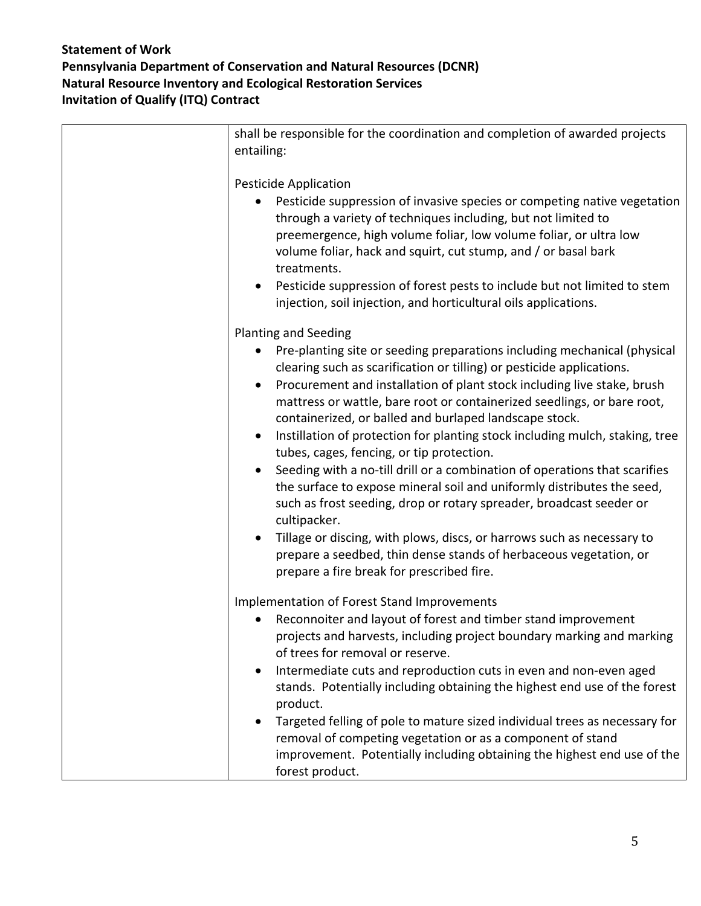| shall be responsible for the coordination and completion of awarded projects<br>entailing:                                                                                                                                                                                                                                                                                                                                                                                                                                                                                                                                                                                                                                                                                                                                                                                                                                                                                                                      |
|-----------------------------------------------------------------------------------------------------------------------------------------------------------------------------------------------------------------------------------------------------------------------------------------------------------------------------------------------------------------------------------------------------------------------------------------------------------------------------------------------------------------------------------------------------------------------------------------------------------------------------------------------------------------------------------------------------------------------------------------------------------------------------------------------------------------------------------------------------------------------------------------------------------------------------------------------------------------------------------------------------------------|
| <b>Pesticide Application</b><br>Pesticide suppression of invasive species or competing native vegetation<br>through a variety of techniques including, but not limited to<br>preemergence, high volume foliar, low volume foliar, or ultra low<br>volume foliar, hack and squirt, cut stump, and / or basal bark<br>treatments.<br>Pesticide suppression of forest pests to include but not limited to stem<br>$\bullet$<br>injection, soil injection, and horticultural oils applications.                                                                                                                                                                                                                                                                                                                                                                                                                                                                                                                     |
| <b>Planting and Seeding</b><br>Pre-planting site or seeding preparations including mechanical (physical<br>clearing such as scarification or tilling) or pesticide applications.<br>Procurement and installation of plant stock including live stake, brush<br>$\bullet$<br>mattress or wattle, bare root or containerized seedlings, or bare root,<br>containerized, or balled and burlaped landscape stock.<br>Instillation of protection for planting stock including mulch, staking, tree<br>$\bullet$<br>tubes, cages, fencing, or tip protection.<br>Seeding with a no-till drill or a combination of operations that scarifies<br>$\bullet$<br>the surface to expose mineral soil and uniformly distributes the seed,<br>such as frost seeding, drop or rotary spreader, broadcast seeder or<br>cultipacker.<br>Tillage or discing, with plows, discs, or harrows such as necessary to<br>prepare a seedbed, thin dense stands of herbaceous vegetation, or<br>prepare a fire break for prescribed fire. |
| Implementation of Forest Stand Improvements<br>Reconnoiter and layout of forest and timber stand improvement<br>projects and harvests, including project boundary marking and marking<br>of trees for removal or reserve.<br>Intermediate cuts and reproduction cuts in even and non-even aged<br>stands. Potentially including obtaining the highest end use of the forest<br>product.<br>Targeted felling of pole to mature sized individual trees as necessary for<br>removal of competing vegetation or as a component of stand<br>improvement. Potentially including obtaining the highest end use of the<br>forest product.                                                                                                                                                                                                                                                                                                                                                                               |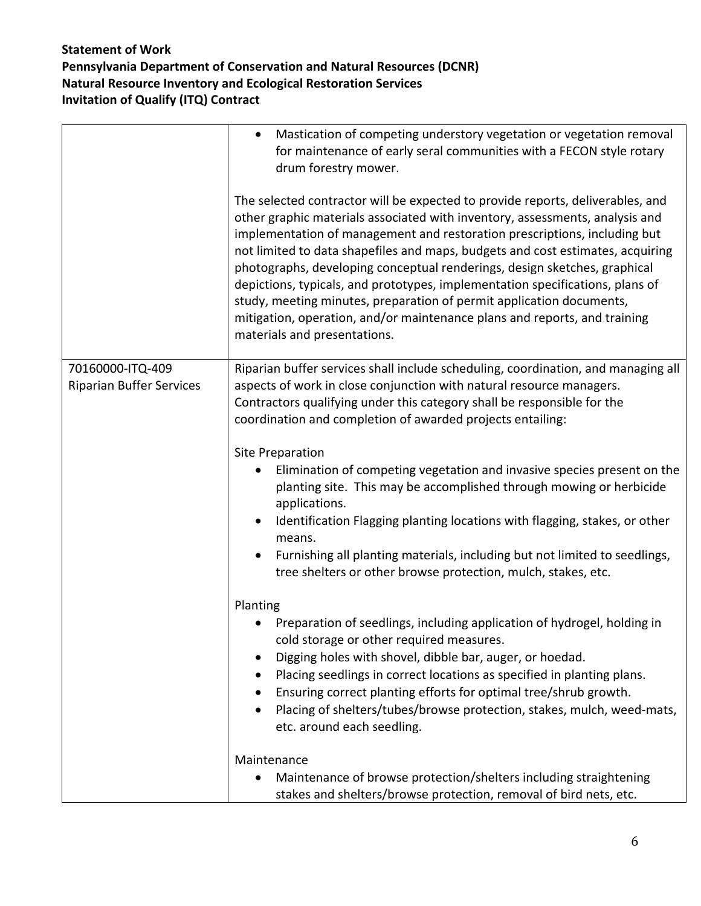|                                                     | Mastication of competing understory vegetation or vegetation removal<br>$\bullet$<br>for maintenance of early seral communities with a FECON style rotary<br>drum forestry mower.<br>The selected contractor will be expected to provide reports, deliverables, and<br>other graphic materials associated with inventory, assessments, analysis and<br>implementation of management and restoration prescriptions, including but<br>not limited to data shapefiles and maps, budgets and cost estimates, acquiring<br>photographs, developing conceptual renderings, design sketches, graphical<br>depictions, typicals, and prototypes, implementation specifications, plans of<br>study, meeting minutes, preparation of permit application documents,<br>mitigation, operation, and/or maintenance plans and reports, and training<br>materials and presentations. |
|-----------------------------------------------------|-----------------------------------------------------------------------------------------------------------------------------------------------------------------------------------------------------------------------------------------------------------------------------------------------------------------------------------------------------------------------------------------------------------------------------------------------------------------------------------------------------------------------------------------------------------------------------------------------------------------------------------------------------------------------------------------------------------------------------------------------------------------------------------------------------------------------------------------------------------------------|
| 70160000-ITQ-409<br><b>Riparian Buffer Services</b> | Riparian buffer services shall include scheduling, coordination, and managing all<br>aspects of work in close conjunction with natural resource managers.<br>Contractors qualifying under this category shall be responsible for the<br>coordination and completion of awarded projects entailing:<br><b>Site Preparation</b><br>Elimination of competing vegetation and invasive species present on the<br>planting site. This may be accomplished through mowing or herbicide<br>applications.<br>Identification Flagging planting locations with flagging, stakes, or other<br>$\bullet$<br>means.<br>Furnishing all planting materials, including but not limited to seedlings,<br>$\bullet$<br>tree shelters or other browse protection, mulch, stakes, etc.                                                                                                     |
|                                                     | Planting<br>Preparation of seedlings, including application of hydrogel, holding in<br>cold storage or other required measures.<br>Digging holes with shovel, dibble bar, auger, or hoedad.<br>Placing seedlings in correct locations as specified in planting plans.<br>Ensuring correct planting efforts for optimal tree/shrub growth.<br>٠<br>Placing of shelters/tubes/browse protection, stakes, mulch, weed-mats,<br>$\bullet$<br>etc. around each seedling.<br>Maintenance<br>Maintenance of browse protection/shelters including straightening<br>$\bullet$<br>stakes and shelters/browse protection, removal of bird nets, etc.                                                                                                                                                                                                                             |